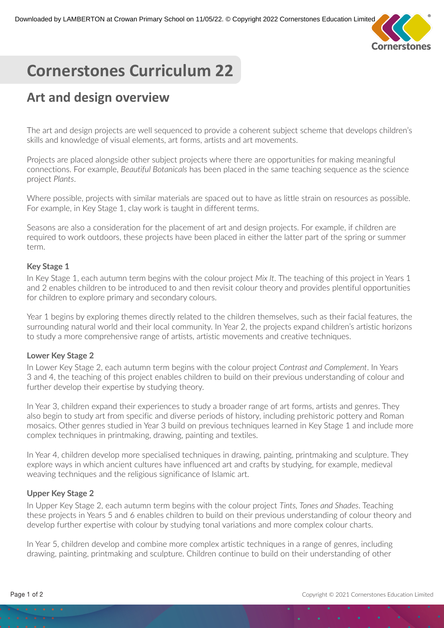

# **Cornerstones Curriculum 22**

## **Art and design overview**

The art and design projects are well sequenced to provide a coherent subject scheme that develops children's skills and knowledge of visual elements, art forms, artists and art movements.

Projects are placed alongside other subject projects where there are opportunities for making meaningful connections. For example, *Beautiful Botanicals* has been placed in the same teaching sequence as the science project *Plants*.

Where possible, projects with similar materials are spaced out to have as little strain on resources as possible. For example, in Key Stage 1, clay work is taught in different terms.

Seasons are also a consideration for the placement of art and design projects. For example, if children are required to work outdoors, these projects have been placed in either the latter part of the spring or summer term.

### **Key Stage 1**

In Key Stage 1, each autumn term begins with the colour project *Mix It*. The teaching of this project in Years 1 and 2 enables children to be introduced to and then revisit colour theory and provides plentiful opportunities for children to explore primary and secondary colours.

Year 1 begins by exploring themes directly related to the children themselves, such as their facial features, the surrounding natural world and their local community. In Year 2, the projects expand children's artistic horizons to study a more comprehensive range of artists, artistic movements and creative techniques.

### **Lower Key Stage 2**

In Lower Key Stage 2, each autumn term begins with the colour project *Contrast and Complement*. In Years 3 and 4, the teaching of this project enables children to build on their previous understanding of colour and further develop their expertise by studying theory.

In Year 3, children expand their experiences to study a broader range of art forms, artists and genres. They also begin to study art from specific and diverse periods of history, including prehistoric pottery and Roman mosaics. Other genres studied in Year 3 build on previous techniques learned in Key Stage 1 and include more complex techniques in printmaking, drawing, painting and textiles.

In Year 4, children develop more specialised techniques in drawing, painting, printmaking and sculpture. They explore ways in which ancient cultures have influenced art and crafts by studying, for example, medieval weaving techniques and the religious significance of Islamic art.

### **Upper Key Stage 2**

In Upper Key Stage 2, each autumn term begins with the colour project *Tints, Tones and Shades*. Teaching these projects in Years 5 and 6 enables children to build on their previous understanding of colour theory and develop further expertise with colour by studying tonal variations and more complex colour charts.

In Year 5, children develop and combine more complex artistic techniques in a range of genres, including drawing, painting, printmaking and sculpture. Children continue to build on their understanding of other